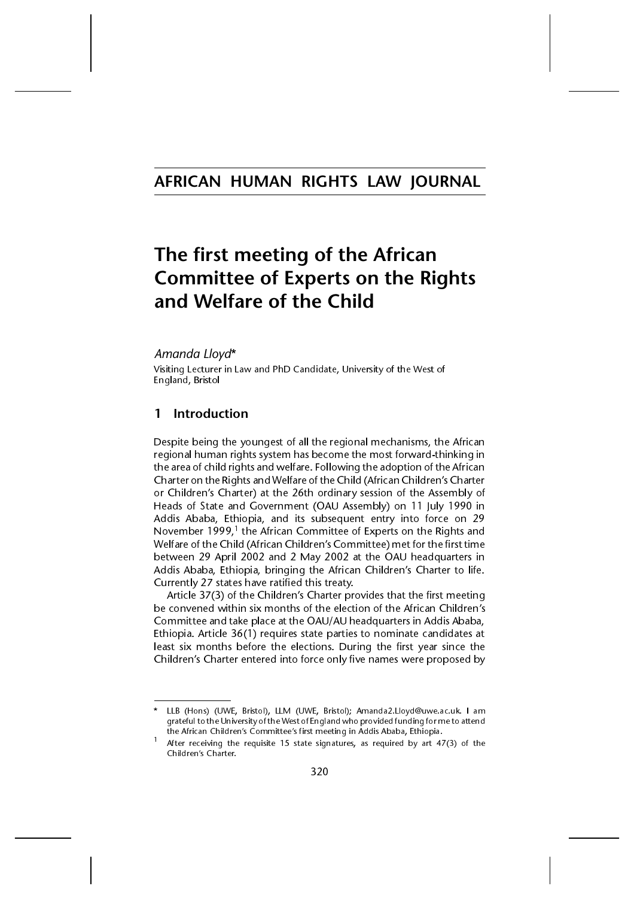# AFRICAN HUMAN RIGHTS LAW JOURNAL

# The first meeting of the African **Committee of Experts on the Rights** and Welfare of the Child

# Amanda Lloyd\*

Visiting Lecturer in Law and PhD Candidate, University of the West of England, Bristol

# 1 Introduction

\*

Despite being the youngest of all the regional mechanisms, the African regional human rights system has become the most forward-thinking in the area of child rights and welfare. Following the adoption of the African Charter on the Rights and Welfare of the Child (African Children's Charter or Children's Charter) at the 26th ordinary session of the Assembly of Heads of State and Government (OAU Assembly) on 11 July 1990 in Addis Ababa, Ethiopia, and its subsequent entry into force on 29 November 1999,<sup>1</sup> the African Committee of Experts on the Rights and Welfare of the Child (African Children's Committee) met for the first time between 29 April 2002 and 2 May 2002 at the OAU headquarters in Addis Ababa, Ethiopia, bringing the African Children's Charter to life. Currently 27 states have ratified this treaty.

Article 37(3) of the Children's Charter provides that the first meeting be convened within six months of the election of the African Children's Committee and take place at the OAU/AU headquarters in Addis Ababa, Ethiopia. Article 36(1) requires state parties to nominate candidates at least six months before the elections. During the first year since the Children's Charter entered into force only five names were proposed by

LLB (Hons) (UWE, Bristol), LLM (UWE, Bristol); Amanda2.Lloyd@uwe.ac.uk. I am grateful to the University of the West of England who provided funding for me to attend

After receiving the requisite 15 state signatures, as required by art 47(3) of the Children's Charter.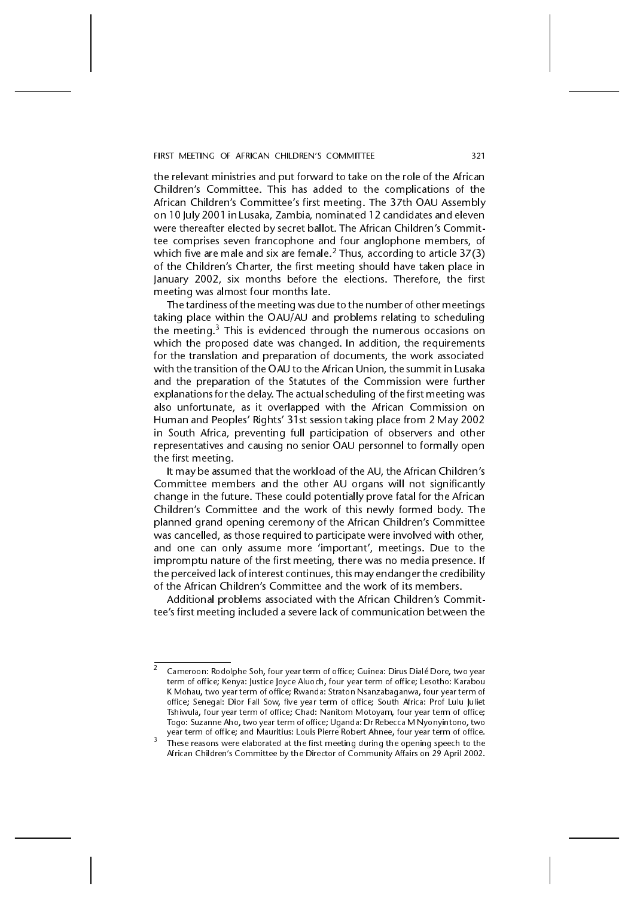#### FIRST MEETING OF AFRICAN CHILDREN'S COMMITTEE 321

the relevant ministries and put forward to take on the role of the African Children's Committee. This has added to the complications of the African Children's Committee's first meeting. The 37th OAU Assembly on 10 July 2001 in Lusaka, Zambia, nominated 12 candidates and eleven were thereafter elected by secret ballot. The African Children's Committee comprises seven francophone and four anglophone members, of which five are male and six are female.<sup>2</sup> Thus, according to article  $37(3)$ of the Children's Charter, the first meeting should have taken place in January 2002, six months before the elections. Therefore, the first meeting was almost four months late.

The tardiness of the meeting was due to the number of other meetings taking place within the OAU/AU and problems relating to scheduling the meeting. $3$  This is evidenced through the numerous occasions on which the proposed date was changed. In addition, the requirements for the translation and preparation of documents, the work associated with the transition of the OAU to the African Union, the summit in Lusaka and the preparation of the Statutes of the Commission were further explanations for the delay. The actual scheduling of the first meeting was also unfortunate, as it overlapped with the African Commission on Human and Peoples' Rights' 31st session taking place from 2 May 2002 in South Africa, preventing full participation of observers and other representatives and causing no senior OAU personnel to formally open the first meeting.

It may be assumed that the workload of the AU, the African Children's Committee members and the other AU organs will not significantly change in the future. These could potentially prove fatal for the African Children's Committee and the work of this newly formed body. The planned grand opening ceremony of the African Children's Committee was cancelled, as those required to participate were involved with other, and one can only assume more 'important', meetings. Due to the impromptu nature of the first meeting, there was no media presence. If the perceived lack of interest continues, this may endanger the credibility of the African Children's Committee and the work of its members.

Additional problems associated with the African Children's Committee's first meeting included a severe lack of communication between the

<sup>2</sup> Cameroon: Rodolphe Soh, four year term of office; Guinea: Dirus Dialé Dore, two year term of office; Kenya: Justice Joyce Aluoch, four year term of office; Lesotho: Karabou K Mohau, two year term of office; Rwanda: Straton Nsanzabaganwa, four year term of office; Senegal: Dior Fall Sow, five year term of office; South Africa: Prof Lulu Juliet Tshiwula, four year term of office; Chad: Nanitom Motoyam, four year term of office; Togo: Suzanne Aho, two year term of office; Uganda: Dr Rebecca M Nyonyintono, two

These reasons were elaborated at the first meeting during the opening speech to the African Children's Committee by the Director of Community Affairs on 29 April 2002.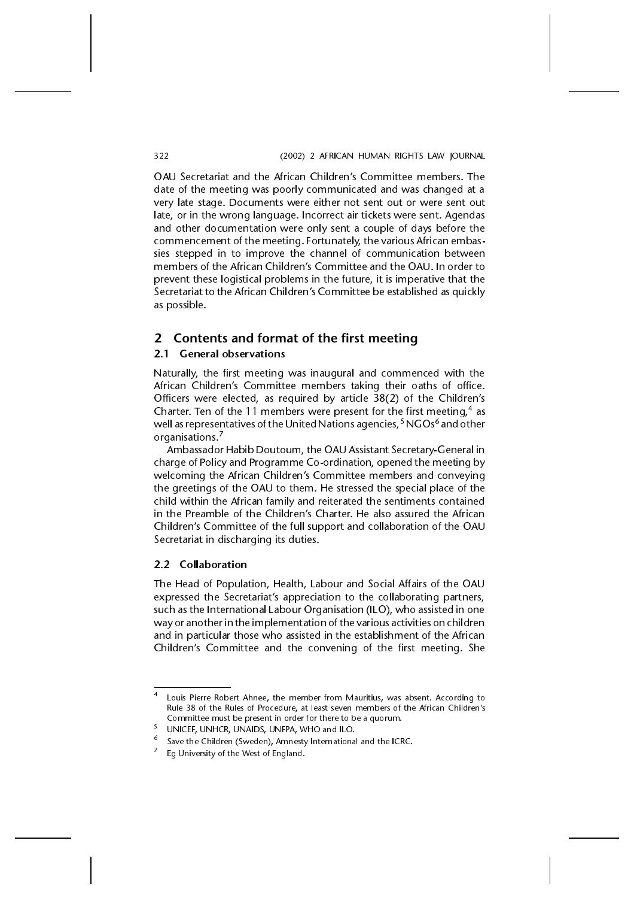OAU Secretariat and the African Children's Committee members. The date of the meeting was poorly communicated and was changed at a very late stage. Documents were either not sent out or were sent out late, or in the wrong language. Incorrect air tickets were sent. Agendas and other documentation were only sent a couple of days before the commencement of the meeting. Fortunately, the various African embassies stepped in to improve the channel of communication between members of the African Children's Committee and the OAU. In order to prevent these logistical problems in the future, it is imperative that the Secretariat to the African Children's Committee be established as quickly as possible.

# 2 Contents and format of the first meeting

### 2.1 General observations

Naturally, the first meeting was inaugural and commenced with the African Children's Committee members taking their oaths of office. Officers were elected, as required by article  $38(2)$  of the Children's Charter. Ten of the 11 members were present for the first meeting,  $4$  as well as representatives of the United Nations agencies,<sup>5</sup> NGOs<sup>6</sup> and other organisations.<sup>7</sup>

Ambassador Habib Doutoum, the OAU Assistant Secretary-General in charge of Policy and Programme Co-ordination, opened the meeting by welcoming the African Children's Committee members and conveying the greetings of the OAU to them. He stressed the special place of the child within the African family and reiterated the sentiments contained in the Preamble of the Children's Charter. He also assured the African Children's Committee of the full support and collaboration of the OAU Secretariat in discharging its duties.

### 2.2 Collaboration

The Head of Population, Health, Labour and Social Affairs of the OAU expressed the Secretariat's appreciation to the collaborating partners, such as the International Labour Organisation (ILO), who assisted in one way or another in the implementation of the various activities on children and in particular those who assisted in the establishment of the African Children's Committee and the convening of the first meeting. She

<sup>4</sup> Louis Pierre Robert Ahnee, the member from Mauritius, was absent. According to Rule 38 of the Rules of Procedure, at least seven members of the African Children's Committee must be present in order for there to be a quorum.

UNICEF, UNHCR, UNAIDS, UNFPA, WHO and ILO.<br>Save the Children (Sweden), Amnesty International and the ICRC.<br>Eg University of the West of England.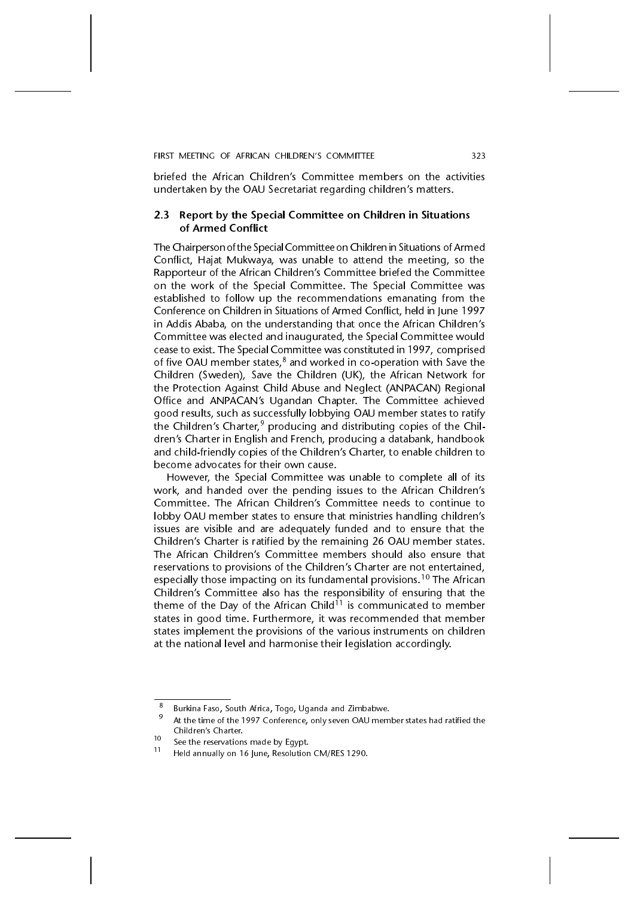briefed the African Children's Committee members on the activities undertaken by the OAU Secretariat regarding children's matters.

### 2.3 Report by the Special Committee on Children in Situations of Armed Conflict

The Chairperson of the Special Committee on Children in Situations of Armed Conflict, Hajat Mukwaya, was unable to attend the meeting, so the Rapporteur of the African Children's Committee briefed the Committee on the work of the Special Committee. The Special Committee was established to follow up the recommendations emanating from the Conference on Children in Situations of Armed Conflict, held in June 1997 in Addis Ababa, on the understanding that once the African Children's Committee was elected and inaugurated, the Special Committee would cease to exist. The Special Committee was constituted in 1997, comprised of five OAU member states, $8$  and worked in co-operation with Save the Children (Sweden), Save the Children (UK), the African Network for the Protection Against Child Abuse and Neglect (ANPACAN) Regional Office and ANPACAN's Ugandan Chapter. The Committee achieved good results, such as successfully lobbying OAU member states to ratify the Children's Charter,<sup>9</sup> producing and distributing copies of the Children's Charter in English and French, producing a databank, handbook and child-friendly copies of the Children's Charter, to enable children to become advocates for their own cause.

However, the Special Committee was unable to complete all of its work, and handed over the pending issues to the African Children's Committee. The African Children's Committee needs to continue to lobby OAU member states to ensure that ministries handling children's issues are visible and are adequately funded and to ensure that the Children's Charter is ratified by the remaining 26 OAU member states. The African Children's Committee members should also ensure that reservations to provisions of the Children's Charter are not entertained, especially those impacting on its fundamental provisions.<sup>10</sup> The African Children's Committee also has the responsibility of ensuring that the theme of the Day of the African Child<sup>11</sup> is communicated to member states in good time. Furthermore, it was recommended that member states implement the provisions of the various instruments on children at the national level and harmonise their legislation accordingly.

<sup>&</sup>lt;sup>8</sup> Burkina Faso, South Africa, Togo, Uganda and Zimbabwe.<br><sup>9</sup> At the time of the 1997 Conference, only seven OAU member states had ratified the Children's Charter.

The Childrens Charter. 10 See the reservations made by Egypt.<br><sup>11</sup> Held annually on 16 June, Resolution CM/RES 1290.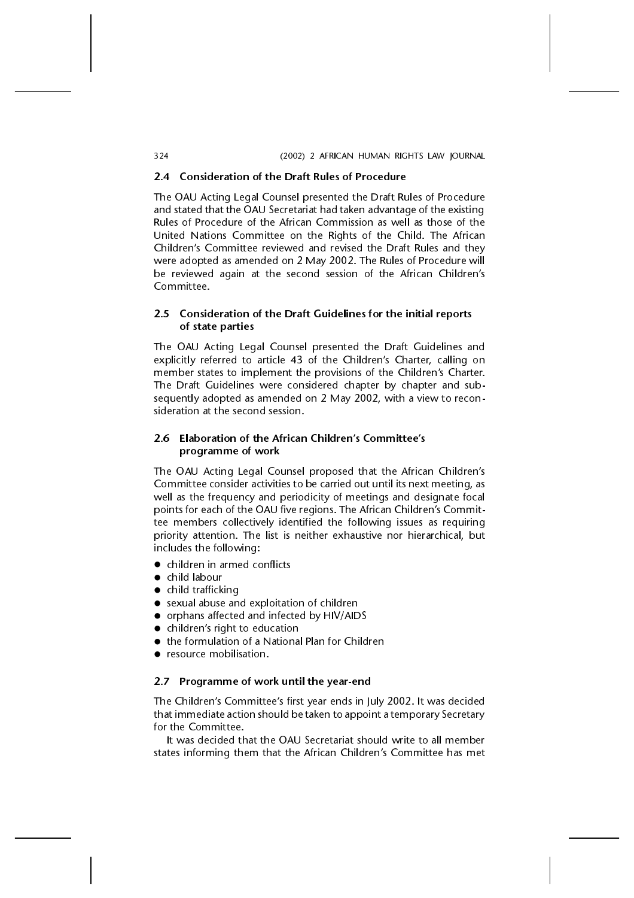#### 324 (2002) 2 AFRICAN HUMAN RIGHTS LAW JOURNAL

### 2.4 Consideration of the Draft Rules of Procedure

The OAU Acting Legal Counsel presented the Draft Rules of Procedure and stated that the OAU Secretariat had taken advantage of the existing Rules of Procedure of the African Commission as well as those of the United Nations Committee on the Rights of the Child. The African Children's Committee reviewed and revised the Draft Rules and they were adopted as amended on 2 May 2002. The Rules of Procedure will be reviewed again at the second session of the African Children's Committee.

# 2.5 Consideration of the Draft Guidelines for the initial reports of state parties

The OAU Acting Legal Counsel presented the Draft Guidelines and explicitly referred to article 43 of the Children's Charter, calling on member states to implement the provisions of the Children's Charter. The Draft Guidelines were considered chapter by chapter and subsequently adopted as amended on 2 May 2002, with a view to reconsideration at the second session.

# 2.6 Elaboration of the African Children's Committee's programme of work

The OAU Acting Legal Counsel proposed that the African Children's Committee consider activities to be carried out until its next meeting, as well as the frequency and periodicity of meetings and designate focal points for each of the OAU five regions. The African Children's Committee members collectively identified the following issues as requiring priority attention. The list is neither exhaustive nor hierarchical, but includes the following:

- children in armed conflicts
- child labour
- child trafficking
- sexual abuse and exploitation of children
- orphans affected and infected by HIV/AIDS
- $\bullet$  children's right to education
- the formulation of a National Plan for Children
- resource mobilisation.

### 2.7 Programme of work until the year-end

The Children's Committee's first year ends in July 2002. It was decided that immediate action should be taken to appoint a temporary Secretary for the Committee.

It was decided that the OAU Secretariat should write to all member states informing them that the African Children's Committee has met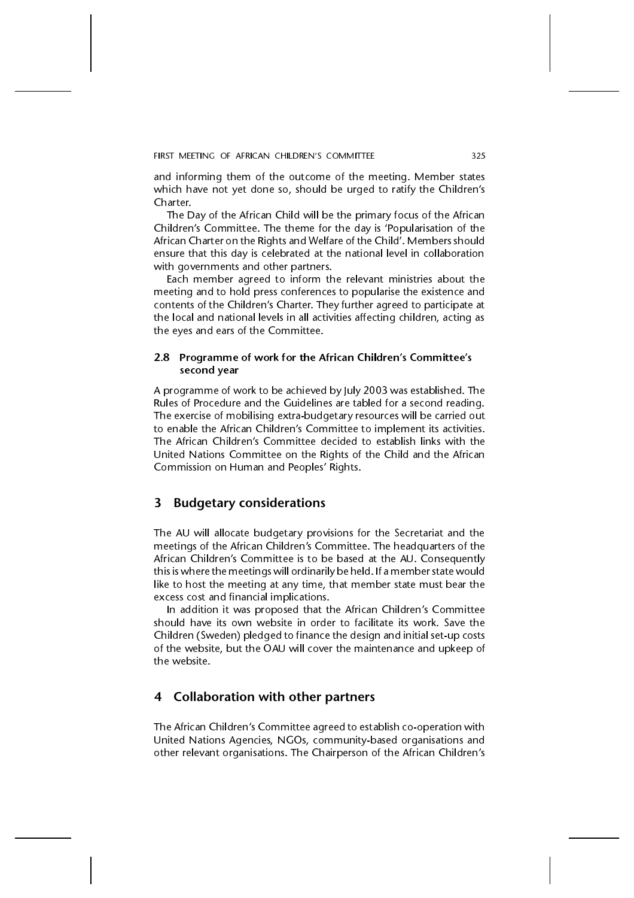FIRST MEETING OF AFRICAN CHILDREN'S COMMITTEE 325

and informing them of the outcome of the meeting. Member states which have not yet done so, should be urged to ratify the Children's Charter.

The Day of the African Child will be the primary focus of the African Children's Committee. The theme for the day is 'Popularisation of the African Charter on the Rights and Welfare of the Child'. Members should ensure that this day is celebrated at the national level in collaboration with governments and other partners.

Each member agreed to inform the relevant ministries about the meeting and to hold press conferences to popularise the existence and contents of the Children's Charter. They further agreed to participate at the local and national levels in all activities affecting children, acting as the eyes and ears of the Committee.

### 2.8 Programme of work for the African Children's Committee's second year

A programme of work to be achieved by July 2003 was established. The Rules of Procedure and the Guidelines are tabled for a second reading. The exercise of mobilising extra-budgetary resources will be carried out to enable the African Children's Committee to implement its activities. The African Children's Committee decided to establish links with the United Nations Committee on the Rights of the Child and the African Commission on Human and Peoples' Rights.

# 3 Budgetary considerations

The AU will allocate budgetary provisions for the Secretariat and the meetings of the African Children's Committee. The headquarters of the African Children's Committee is to be based at the AU. Consequently this is where the meetings will ordinarily be held. If a member state would like to host the meeting at any time, that member state must bear the excess cost and financial implications.

In addition it was proposed that the African Children's Committee should have its own website in order to facilitate its work. Save the Children (Sweden) pledged to finance the design and initial set-up costs of the website, but the OAU will cover the maintenance and upkeep of the website.

# 4 Collaboration with other partners

The African Children's Committee agreed to establish co-operation with United Nations Agencies, NGOs, community-based organisations and other relevant organisations. The Chairperson of the African Children's